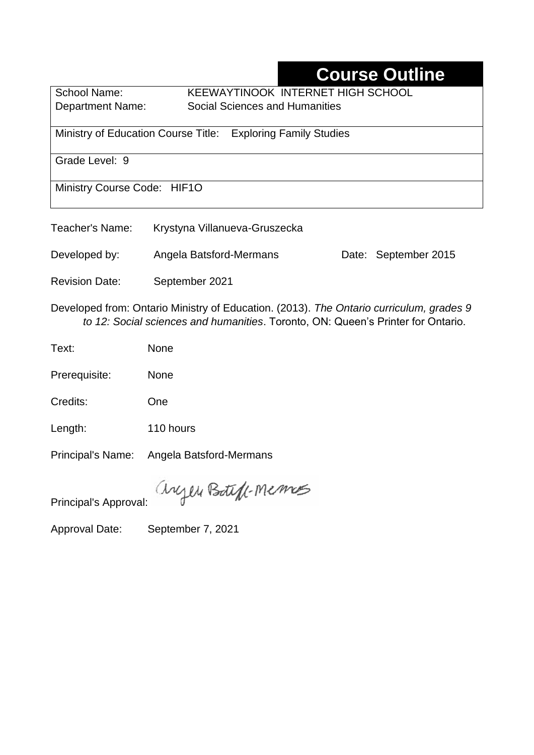# **Course Outline**

School Name: KEEWAYTINOOK INTERNET HIGH SCHOOL Department Name:Social Sciences and Humanities

Ministry of Education Course Title:Exploring Family Studies

Grade Level: 9

Ministry Course Code: HIF1O

| Krystyna Villanueva-Gruszecka |
|-------------------------------|
|                               |

Developed by: Angela Batsford-Mermans Date: September 2015

Revision Date: September 2021

Developed from: Ontario Ministry of Education. (2013). *The Ontario curriculum, grades 9 to 12: Social sciences and humanities*. Toronto, ON: Queen's Printer for Ontario.

Text: None

Prerequisite: None

Credits: One

Length: 110 hours

Principal's Name: Angela Batsford-Mermans

anyen Boteft-Memos

Principal's Approval:

Approval Date: September 7, 2021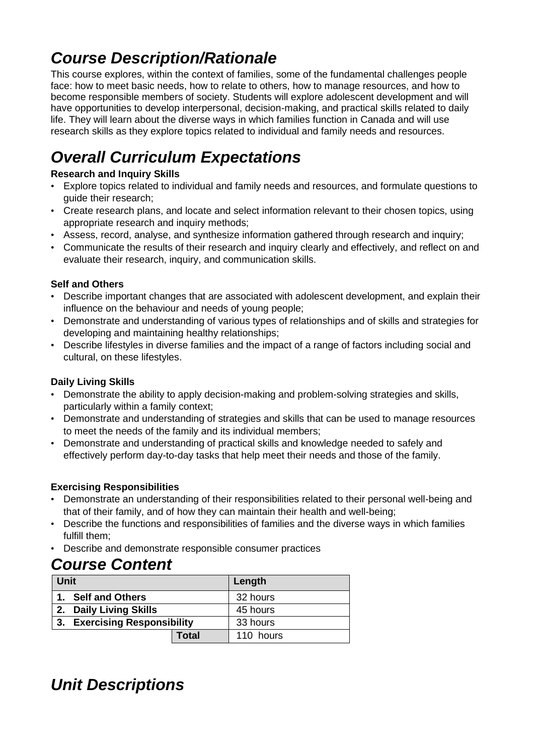# *Course Description/Rationale*

This course explores, within the context of families, some of the fundamental challenges people face: how to meet basic needs, how to relate to others, how to manage resources, and how to become responsible members of society. Students will explore adolescent development and will have opportunities to develop interpersonal, decision-making, and practical skills related to daily life. They will learn about the diverse ways in which families function in Canada and will use research skills as they explore topics related to individual and family needs and resources.

# *Overall Curriculum Expectations*

### **Research and Inquiry Skills**

- Explore topics related to individual and family needs and resources, and formulate questions to guide their research;
- Create research plans, and locate and select information relevant to their chosen topics, using appropriate research and inquiry methods;
- Assess, record, analyse, and synthesize information gathered through research and inquiry;
- Communicate the results of their research and inquiry clearly and effectively, and reflect on and evaluate their research, inquiry, and communication skills.

### **Self and Others**

- Describe important changes that are associated with adolescent development, and explain their influence on the behaviour and needs of young people;
- Demonstrate and understanding of various types of relationships and of skills and strategies for developing and maintaining healthy relationships;
- Describe lifestyles in diverse families and the impact of a range of factors including social and cultural, on these lifestyles.

### **Daily Living Skills**

- Demonstrate the ability to apply decision-making and problem-solving strategies and skills, particularly within a family context;
- Demonstrate and understanding of strategies and skills that can be used to manage resources to meet the needs of the family and its individual members;
- Demonstrate and understanding of practical skills and knowledge needed to safely and effectively perform day-to-day tasks that help meet their needs and those of the family.

### **Exercising Responsibilities**

- Demonstrate an understanding of their responsibilities related to their personal well-being and that of their family, and of how they can maintain their health and well-being;
- Describe the functions and responsibilities of families and the diverse ways in which families fulfill them;
- Describe and demonstrate responsible consumer practices

### *Course Content*

| Unit |                              |              | Length    |
|------|------------------------------|--------------|-----------|
|      | 1. Self and Others           |              | 32 hours  |
|      | 2. Daily Living Skills       |              | 45 hours  |
|      | 3. Exercising Responsibility |              | 33 hours  |
|      |                              | <b>Total</b> | 110 hours |

## *Unit Descriptions*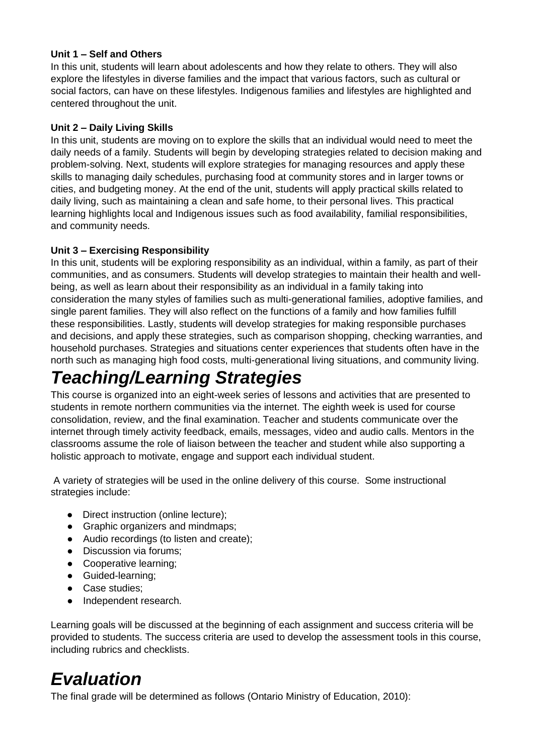#### **Unit 1 – Self and Others**

In this unit, students will learn about adolescents and how they relate to others. They will also explore the lifestyles in diverse families and the impact that various factors, such as cultural or social factors, can have on these lifestyles. Indigenous families and lifestyles are highlighted and centered throughout the unit.

#### **Unit 2 – Daily Living Skills**

In this unit, students are moving on to explore the skills that an individual would need to meet the daily needs of a family. Students will begin by developing strategies related to decision making and problem-solving. Next, students will explore strategies for managing resources and apply these skills to managing daily schedules, purchasing food at community stores and in larger towns or cities, and budgeting money. At the end of the unit, students will apply practical skills related to daily living, such as maintaining a clean and safe home, to their personal lives. This practical learning highlights local and Indigenous issues such as food availability, familial responsibilities, and community needs.

#### **Unit 3 – Exercising Responsibility**

In this unit, students will be exploring responsibility as an individual, within a family, as part of their communities, and as consumers. Students will develop strategies to maintain their health and wellbeing, as well as learn about their responsibility as an individual in a family taking into consideration the many styles of families such as multi-generational families, adoptive families, and single parent families. They will also reflect on the functions of a family and how families fulfill these responsibilities. Lastly, students will develop strategies for making responsible purchases and decisions, and apply these strategies, such as comparison shopping, checking warranties, and household purchases. Strategies and situations center experiences that students often have in the north such as managing high food costs, multi-generational living situations, and community living.

# *Teaching/Learning Strategies*

This course is organized into an eight-week series of lessons and activities that are presented to students in remote northern communities via the internet. The eighth week is used for course consolidation, review, and the final examination. Teacher and students communicate over the internet through timely activity feedback, emails, messages, video and audio calls. Mentors in the classrooms assume the role of liaison between the teacher and student while also supporting a holistic approach to motivate, engage and support each individual student.

A variety of strategies will be used in the online delivery of this course. Some instructional strategies include:

- Direct instruction (online lecture);
- Graphic organizers and mindmaps;
- Audio recordings (to listen and create);
- Discussion via forums;
- Cooperative learning;
- Guided-learning;
- Case studies;
- Independent research.

Learning goals will be discussed at the beginning of each assignment and success criteria will be provided to students. The success criteria are used to develop the assessment tools in this course, including rubrics and checklists.

## *Evaluation*

The final grade will be determined as follows (Ontario Ministry of Education, 2010):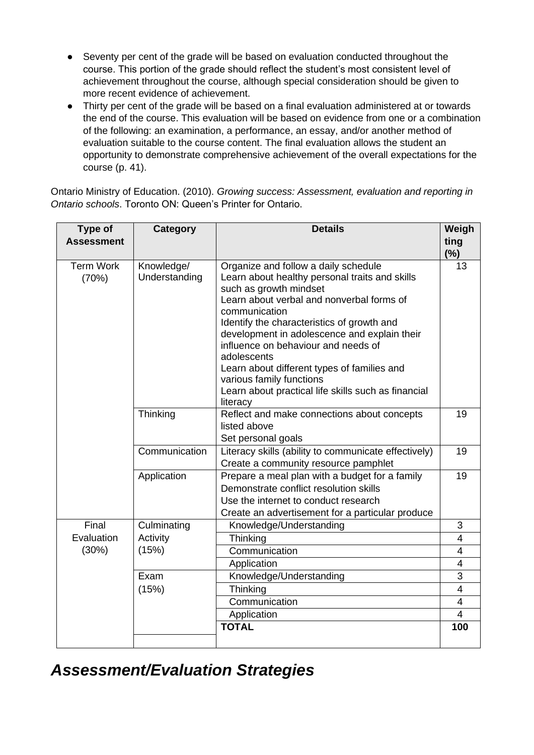- Seventy per cent of the grade will be based on evaluation conducted throughout the course. This portion of the grade should reflect the student's most consistent level of achievement throughout the course, although special consideration should be given to more recent evidence of achievement.
- Thirty per cent of the grade will be based on a final evaluation administered at or towards the end of the course. This evaluation will be based on evidence from one or a combination of the following: an examination, a performance, an essay, and/or another method of evaluation suitable to the course content. The final evaluation allows the student an opportunity to demonstrate comprehensive achievement of the overall expectations for the course (p. 41).

Ontario Ministry of Education. (2010). *Growing success: Assessment, evaluation and reporting in Ontario schools*. Toronto ON: Queen's Printer for Ontario.

| Type of            | <b>Category</b>                                                       | <b>Details</b>                                                                           | Weigh          |
|--------------------|-----------------------------------------------------------------------|------------------------------------------------------------------------------------------|----------------|
| <b>Assessment</b>  |                                                                       |                                                                                          | ting           |
|                    |                                                                       |                                                                                          | (%)            |
| <b>Term Work</b>   | Knowledge/                                                            | Organize and follow a daily schedule                                                     | 13             |
| (70%)              | Understanding                                                         | Learn about healthy personal traits and skills                                           |                |
|                    |                                                                       | such as growth mindset                                                                   |                |
|                    |                                                                       | Learn about verbal and nonverbal forms of<br>communication                               |                |
|                    |                                                                       | Identify the characteristics of growth and                                               |                |
|                    |                                                                       | development in adolescence and explain their                                             |                |
|                    |                                                                       | influence on behaviour and needs of                                                      |                |
|                    |                                                                       | adolescents                                                                              |                |
|                    |                                                                       | Learn about different types of families and                                              |                |
|                    |                                                                       | various family functions                                                                 |                |
|                    |                                                                       | Learn about practical life skills such as financial                                      |                |
|                    |                                                                       | literacy                                                                                 |                |
| Thinking           |                                                                       | Reflect and make connections about concepts                                              | 19             |
|                    |                                                                       | listed above                                                                             |                |
| Set personal goals |                                                                       |                                                                                          |                |
|                    | Communication<br>Literacy skills (ability to communicate effectively) |                                                                                          | 19             |
|                    |                                                                       | Create a community resource pamphlet                                                     |                |
|                    | Application                                                           | Prepare a meal plan with a budget for a family<br>Demonstrate conflict resolution skills | 19             |
|                    |                                                                       | Use the internet to conduct research                                                     |                |
|                    |                                                                       | Create an advertisement for a particular produce                                         |                |
| Final              | Culminating                                                           | Knowledge/Understanding                                                                  | 3              |
| Evaluation         | Activity                                                              | Thinking                                                                                 | $\overline{4}$ |
| (30%)              | (15%)                                                                 | Communication                                                                            | $\overline{4}$ |
|                    |                                                                       | Application                                                                              | $\overline{4}$ |
|                    | Exam                                                                  | Knowledge/Understanding                                                                  | 3              |
|                    | (15%)                                                                 | Thinking                                                                                 | $\overline{4}$ |
|                    |                                                                       | Communication                                                                            | $\overline{4}$ |
|                    |                                                                       | Application                                                                              | $\overline{4}$ |
|                    |                                                                       | <b>TOTAL</b>                                                                             | 100            |
|                    |                                                                       |                                                                                          |                |

### *Assessment/Evaluation Strategies*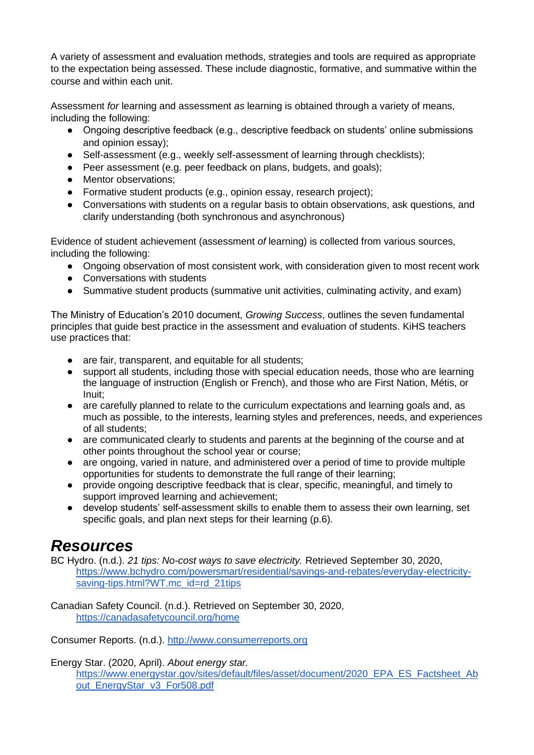A variety of assessment and evaluation methods, strategies and tools are required as appropriate to the expectation being assessed. These include diagnostic, formative, and summative within the course and within each unit.

Assessment *for* learning and assessment *as* learning is obtained through a variety of means, including the following:

- Ongoing descriptive feedback (e.g., descriptive feedback on students' online submissions and opinion essay);
- Self-assessment (e.g., weekly self-assessment of learning through checklists);
- Peer assessment (e.g. peer feedback on plans, budgets, and goals);
- Mentor observations;
- Formative student products (e.g., opinion essay, research project);
- Conversations with students on a regular basis to obtain observations, ask questions, and clarify understanding (both synchronous and asynchronous)

Evidence of student achievement (assessment *of* learning) is collected from various sources, including the following:

- Ongoing observation of most consistent work, with consideration given to most recent work
- Conversations with students
- Summative student products (summative unit activities, culminating activity, and exam)

The Ministry of Education's 2010 document, *Growing Success*, outlines the seven fundamental principles that guide best practice in the assessment and evaluation of students. KiHS teachers use practices that:

- are fair, transparent, and equitable for all students;
- support all students, including those with special education needs, those who are learning the language of instruction (English or French), and those who are First Nation, Métis, or Inuit;
- are carefully planned to relate to the curriculum expectations and learning goals and, as much as possible, to the interests, learning styles and preferences, needs, and experiences of all students;
- are communicated clearly to students and parents at the beginning of the course and at other points throughout the school year or course;
- are ongoing, varied in nature, and administered over a period of time to provide multiple opportunities for students to demonstrate the full range of their learning;
- provide ongoing descriptive feedback that is clear, specific, meaningful, and timely to support improved learning and achievement;
- develop students' self-assessment skills to enable them to assess their own learning, set specific goals, and plan next steps for their learning (p.6).

### *Resources*

BC Hydro. (n.d.). *21 tips: No-cost ways to save electricity.* Retrieved September 30, 2020, [https://www.bchydro.com/powersmart/residential/savings-and-rebates/everyday-electricity](https://www.bchydro.com/powersmart/residential/savings-and-rebates/everyday-electricity-saving-tips.html?WT.mc_id=rd_21tips)[saving-tips.html?WT.mc\\_id=rd\\_21tips](https://www.bchydro.com/powersmart/residential/savings-and-rebates/everyday-electricity-saving-tips.html?WT.mc_id=rd_21tips)

Canadian Safety Council. (n.d.). Retrieved on September 30, 2020, <https://canadasafetycouncil.org/home>

Consumer Reports. (n.d.). [http://www.consumerreports.org](http://www.consumerreports.org/)

Energy Star. (2020, April). *About energy star.* 

[https://www.energystar.gov/sites/default/files/asset/document/2020\\_EPA\\_ES\\_Factsheet\\_Ab](https://www.energystar.gov/sites/default/files/asset/document/2020_EPA_ES_Factsheet_About_EnergyStar_v3_For508.pdf) [out\\_EnergyStar\\_v3\\_For508.pdf](https://www.energystar.gov/sites/default/files/asset/document/2020_EPA_ES_Factsheet_About_EnergyStar_v3_For508.pdf)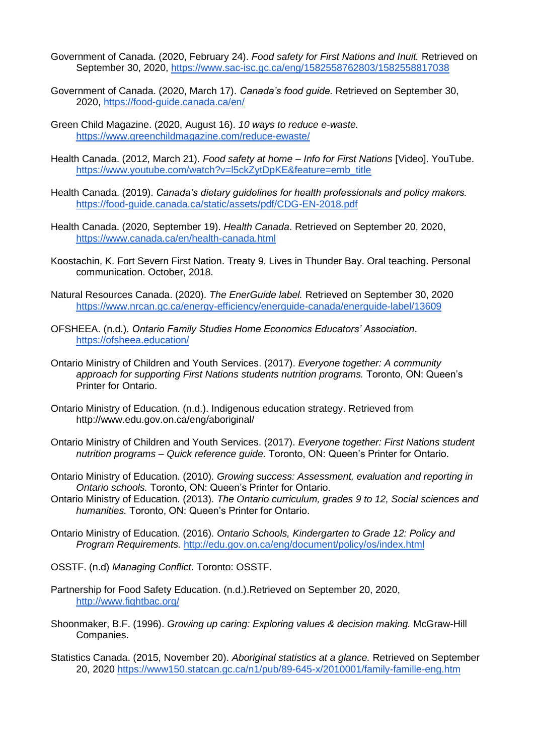- Government of Canada. (2020, February 24). *Food safety for First Nations and Inuit.* Retrieved on September 30, 2020,<https://www.sac-isc.gc.ca/eng/1582558762803/1582558817038>
- Government of Canada. (2020, March 17). *Canada's food guide.* Retrieved on September 30, 2020,<https://food-guide.canada.ca/en/>
- Green Child Magazine. (2020, August 16). *10 ways to reduce e-waste.* <https://www.greenchildmagazine.com/reduce-ewaste/>
- Health Canada. (2012, March 21). *Food safety at home – Info for First Nations* [Video]. YouTube. [https://www.youtube.com/watch?v=l5ckZytDpKE&feature=emb\\_title](https://www.youtube.com/watch?v=l5ckZytDpKE&feature=emb_title)
- Health Canada. (2019). *Canada's dietary guidelines for health professionals and policy makers.*  <https://food-guide.canada.ca/static/assets/pdf/CDG-EN-2018.pdf>
- Health Canada. (2020, September 19). *Health Canada*. Retrieved on September 20, 2020, <https://www.canada.ca/en/health-canada.html>
- Koostachin, K. Fort Severn First Nation. Treaty 9. Lives in Thunder Bay. Oral teaching. Personal communication. October, 2018.
- Natural Resources Canada. (2020). *The EnerGuide label.* Retrieved on September 30, 2020 <https://www.nrcan.gc.ca/energy-efficiency/energuide-canada/energuide-label/13609>
- OFSHEEA. (n.d.). *Ontario Family Studies Home Economics Educators' Association*. <https://ofsheea.education/>
- Ontario Ministry of Children and Youth Services. (2017). *Everyone together: A community approach for supporting First Nations students nutrition programs.* Toronto, ON: Queen's Printer for Ontario.
- Ontario Ministry of Education. (n.d.). Indigenous education strategy. Retrieved from http://www.edu.gov.on.ca/eng/aboriginal/
- Ontario Ministry of Children and Youth Services. (2017). *Everyone together: First Nations student nutrition programs – Quick reference guide.* Toronto, ON: Queen's Printer for Ontario.
- Ontario Ministry of Education. (2010). *Growing success: Assessment, evaluation and reporting in Ontario schools.* Toronto, ON: Queen's Printer for Ontario.
- Ontario Ministry of Education. (2013). *The Ontario curriculum, grades 9 to 12, Social sciences and humanities.* Toronto, ON: Queen's Printer for Ontario.
- Ontario Ministry of Education. (2016). *Ontario Schools, Kindergarten to Grade 12: Policy and Program Requirements.* <http://edu.gov.on.ca/eng/document/policy/os/index.html>
- OSSTF. (n.d) *Managing Conflict*. Toronto: OSSTF.
- Partnership for Food Safety Education. (n.d.).Retrieved on September 20, 2020, <http://www.fightbac.org/>
- Shoonmaker, B.F. (1996). *Growing up caring: Exploring values & decision making.* McGraw-Hill Companies.
- Statistics Canada. (2015, November 20). *Aboriginal statistics at a glance.* Retrieved on September 20, 2020<https://www150.statcan.gc.ca/n1/pub/89-645-x/2010001/family-famille-eng.htm>